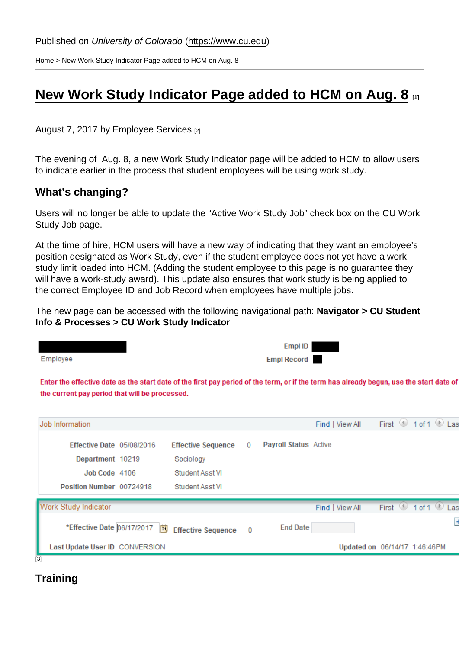[Home](https://www.cu.edu/) > New Work Study Indicator Page added to HCM on Aug. 8

## [New Work Study Indicator Page added to HCM on Aug. 8](https://www.cu.edu/blog/hcm-community/new-work-study-indicator-page-added-hcm-aug-8) [1]

August 7, 2017 by [Employee Services](https://www.cu.edu/blog/hcm-community/author/10695) [2]

The evening of Aug. 8, a new Work Study Indicator page will be added to HCM to allow users to indicate earlier in the process that student employees will be using work study.

What's changing?

Users will no longer be able to update the "Active Work Study Job" check box on the CU Work Study Job page.

At the time of hire, HCM users will have a new way of indicating that they want an employee's position designated as Work Study, even if the student employee does not yet have a work study limit loaded into HCM. (Adding the student employee to this page is no guarantee they will have a work-study award). This update also ensures that work study is being applied to the correct Employee ID and Job Record when employees have multiple jobs.

The new page can be accessed with the following navigational path: Navigator > CU Student Info & Processes > CU Work Study Indicator

**Training** 

[3]